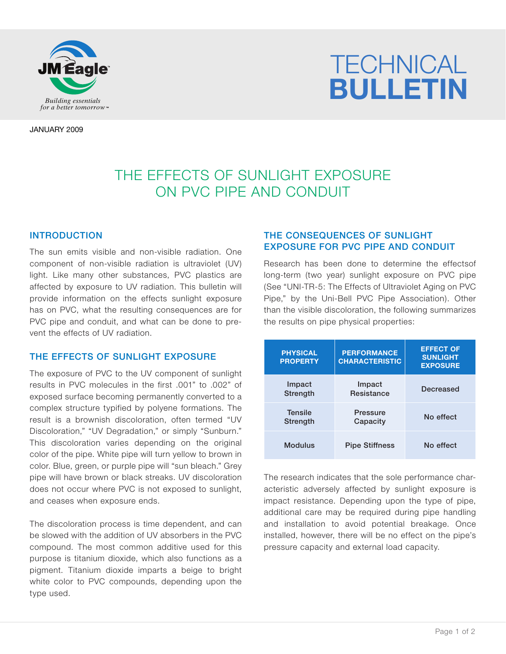

# **TECHNICAL** *Building essentials BULLETIN*

JANUARY 2009

# THE EFFECTS OF SUNLIGHT EXPOSURE ON PVC PIPE AND CONDUIT

#### INTRODUCTION

The sun emits visible and non-visible radiation. One component of non-visible radiation is ultraviolet (UV) light. Like many other substances, PVC plastics are affected by exposure to UV radiation. This bulletin will provide information on the effects sunlight exposure has on PVC, what the resulting consequences are for PVC pipe and conduit, and what can be done to prevent the effects of UV radiation.

#### THE EFFECTS OF SUNLIGHT EXPOSURE

The exposure of PVC to the UV component of sunlight results in PVC molecules in the first .001" to .002" of exposed surface becoming permanently converted to a complex structure typified by polyene formations. The result is a brownish discoloration, often termed "UV Discoloration," "UV Degradation," or simply "Sunburn." This discoloration varies depending on the original color of the pipe. White pipe will turn yellow to brown in color. Blue, green, or purple pipe will "sun bleach." Grey pipe will have brown or black streaks. UV discoloration does not occur where PVC is not exposed to sunlight, and ceases when exposure ends.

The discoloration process is time dependent, and can be slowed with the addition of UV absorbers in the PVC compound. The most common additive used for this purpose is titanium dioxide, which also functions as a pigment. Titanium dioxide imparts a beige to bright white color to PVC compounds, depending upon the type used.

## THE CONSEQUENCES OF SUNLIGHT EXPOSURE FOR PVC PIPE AND CONDUIT

Research has been done to determine the effectsof long-term (two year) sunlight exposure on PVC pipe (See "UNI-TR-5: The Effects of Ultraviolet Aging on PVC Pipe," by the Uni-Bell PVC Pipe Association). Other than the visible discoloration, the following summarizes the results on pipe physical properties:

| <b>PHYSICAL</b><br><b>PROPERTY</b> | <b>PERFORMANCE</b><br><b>CHARACTERISTIC</b> | <b>EFFECT OF</b><br><b>SUNLIGHT</b><br><b>EXPOSURE</b> |
|------------------------------------|---------------------------------------------|--------------------------------------------------------|
| Impact<br>Strength                 | Impact<br><b>Resistance</b>                 | <b>Decreased</b>                                       |
| <b>Tensile</b><br>Strength         | Pressure<br>Capacity                        | No effect                                              |
| <b>Modulus</b>                     | <b>Pipe Stiffness</b>                       | No effect                                              |

The research indicates that the sole performance characteristic adversely affected by sunlight exposure is impact resistance. Depending upon the type of pipe, additional care may be required during pipe handling and installation to avoid potential breakage. Once installed, however, there will be no effect on the pipe's pressure capacity and external load capacity.